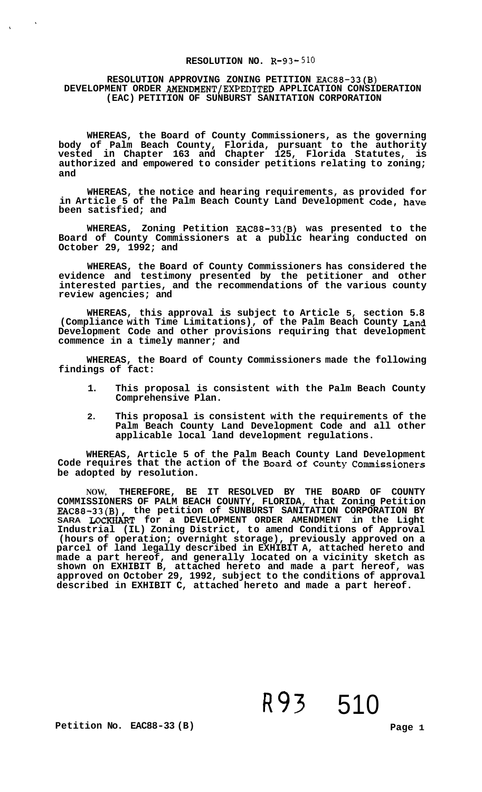#### **RESOLUTION NO. R-93-510**

#### **RESOLUTION APPROVING ZONING PETITION EAC88-33(B) DEVELOPMENT ORDER AMENDMENT/EXPEDITED APPLICATION CONSIDERATION (EAC) PETITION OF SUNBURST SANITATION CORPORATION**

**WHEREAS, the Board of County Commissioners, as the governing body of Palm Beach County, Florida, pursuant to the authority vested in Chapter 163 and Chapter 125, Florida Statutes, is authorized and empowered to consider petitions relating to zoning; and** 

**WHEREAS, the notice and hearing requirements, as provided for in Article 5 of the Palm Beach County Land Development Code, have been satisfied; and** 

**WHEREAS, Zoning Petition EAC88-33(B) was presented to the Board of County Commissioners at a public hearing conducted on October 29, 1992; and** 

**WHEREAS, the Board of County Commissioners has considered the evidence and testimony presented by the petitioner and other interested parties, and the recommendations of the various county review agencies; and** 

**WHEREAS, this approval is subject to Article 5, section 5.8 (Compliance with Time Limitations), of the Palm Beach County Land Development Code and other provisions requiring that development commence in a timely manner; and** 

**WHEREAS, the Board of County Commissioners made the following findings of fact:** 

- **1. This proposal is consistent with the Palm Beach County Comprehensive Plan.**
- **2. This proposal is consistent with the requirements of the Palm Beach County Land Development Code and all other applicable local land development regulations.**

**WHEREAS, Article 5 of the Palm Beach County Land Development Code requires that the action of the Board of County Commissioners be adopted by resolution.** 

**NOW, THEREFORE, BE IT RESOLVED BY THE BOARD OF COUNTY COMMISSIONERS OF PALM BEACH COUNTY, FLORIDA, that Zoning Petition EAC88-33(B), the petition of SUNBURST SANITATION CORPORATION BY SARA LOCKHART for a DEVELOPMENT ORDER AMENDMENT in the Light Industrial (IL) Zoning District, to amend Conditions of Approval (hours of operation; overnight storage), previously approved on a parcel of land legally described in EXHIBIT A, attached hereto and made a part hereof, and generally located on a vicinity sketch as shown on EXHIBIT B, attached hereto and made a part hereof, was approved on October 29, 1992, subject to the conditions of approval described in EXHIBIT C, attached hereto and made a part hereof.** 

R93 510

**Petition No. EAC88-33 (B)** Page 1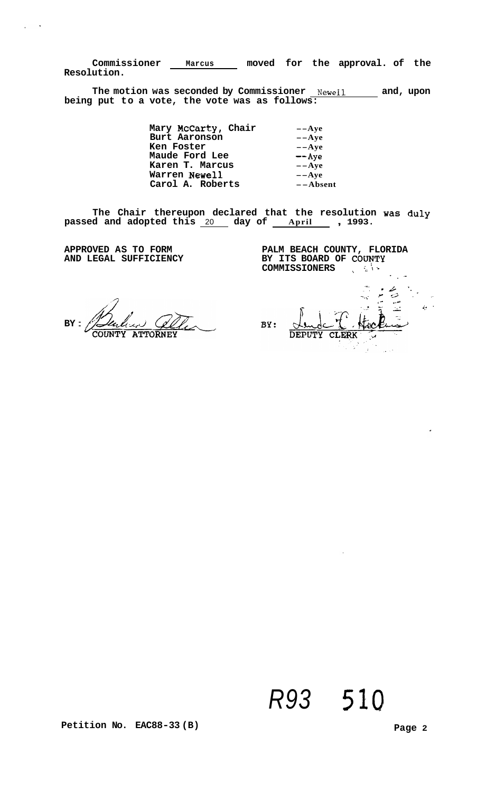**Commissioner Marcus moved for the approval. of the Resolution.** 

**The motion was seconded by Commissioner Newell and, upon being put to a vote, the vote was as follows:** 

> **Mary McCarty, Chair --Aye Burt Aaronson --Aye Ken Foster --Aye Maude Ford Lee --Aye Karen T. Marcus --Aye Warren Newel1 --Aye Carol A. Roberts --Absent**

**The Chair thereupon declared that the resolution was duly passed and adopted this** 20 **day of April** , **1993.** 

**APPROVED AS TO FORM AND LEGAL SUFFICIENCY** 

<span id="page-1-0"></span> $\ddot{\phantom{1}}$ 

**PALM BEACH COUNTY, FLORIDA**  BY ITS BOARD OF COUNTY **COMMISSIONERS** 

**BY** : COUNTY ATTORNEY

.. . - - *L* -. **-x..**  .~. *r .3* , - .. .. **1-**  .. **<sup>c</sup>**\_\_ *c* . . -- .\_. *I-.* ' BY: **DEPUTY CLERK** 

# *R93* 510

Petition No. EAC88-33 (B) Petition No. 2012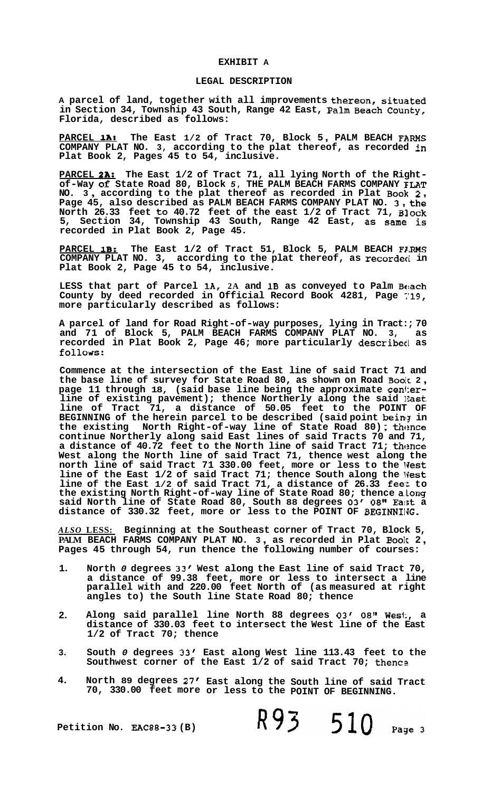#### **EXHIBIT A**

#### **LEGAL DESCRIPTION**

**A parcel of land, together with all improvements thereon, situated in Section 34, Township 43 South, Range 42 East, Palm Beach County, Florida, described as follows:** 

**PARCEL 1A: The East 1/2 of Tract 70, Block 5** , **PALM BEACH FARMS COMPANY PLAT NO. 3, according to the plat thereof, as recorded in Plat Book 2, Pages 45 to 54, inclusive.** 

**PARCEL ?A: The East 1/2 of Tract 71, all lying North of the Right- of-Way of State Road 80, Block** *5,* **THE PALM BEACH FARMS COMPANY ELAT NO. 3** , **according to the plat thereof as recorded in Plat Book 2** , **Page 45, also described as PALM BEACH FARMS COMPANY PLAT NO. 3** , **the North 26.33 feet to 40.72 feet of the east 1/2 of Tract 71, Block 5, Section 34, Township 43 South, Range 42 East, as Same is recorded in Plat Book 2, Page 45.** 

PARCEL 1B: The East 1/2 of Tract 51, Block 5, PALM BEACH F*IRMS* **COMPANY PLAT NO. 3, according to the plat thereof, as recordecl in Plat Book 2, Page 45 to 54, inclusive.** 

**LESS that part of Parcel lA, 2A and 1B as conveyed to Palm Be!ach County by deed recorded in Official Record Book 4281, Page ~'19, more particularly described as follows:** 

**A parcel of land for Road Right-of-way purposes, lying in Tract:; 70 and 71 of Block 5, PALM BEACH FARMS COMPANY PLAT NO. 3, as recorded in Plat Book 2, Page 46; more particularly describecl as**  follows:

**Commence at the intersection of the East line of said Tract 71 and the base line of survey for State Road 80, as shown on Road Boolc 2** , **[page 11](#page-10-0) through 18, (said base line being the approximate cen1:erline of existing pavement); thence Northerly along the said 12ast line of Tract 71, a distance of 50.05 feet to the POINT OF**  BEGINNING of the herein parcel to be described (said point being in BEGINNING of the herein parcel to be described (said point being in the existing North Right-of-way line of State Road 80); thence **continue Northerly along said East lines of said Tracts 70 and 71, a distance of 40.72 feet to the North line of said Tract 71; thence West along the North line of said Tract 71, thence west along the**  north line of said Tract 71 330.00 feet, more or less to the W**est** line of the East 1/2 of said Tract 71; thence South along the West line of the East 1/2 of said Tract 71, a distance of 26.33 feet to **the existing North Right-of-way line of State Road 80; thence a.long said North line of State Road 80, South 88 degrees 03/ 08" Ea:;t a distance of 330.32 feet, more or less to the POINT OF BEGINNIIJG.** 

*ALSO* **LESS: Beginning at the Southeast corner of Tract 70, Block 5, PALM BEACH FARMS COMPANY PLAT NO. 3** , **as recorded in Plat Book 2** , **Pages 45 through 54, run thence the following number of courses:** 

- **1. North** *0* **degrees 33' West along the East line of said Tract 70, a distance of 99.38 feet, more or less to intersect a line parallel with and 220.00 feet North of (as measured at right angles to) the South line State Road 80; thence**
- **2. Along said parallel line North 88 degrees 03' 08" Wesi:, a distance of 330.03 feet to intersect the West line of the East 1/2 of Tract 70; thence**
- **3. South** *0* **degrees 33, East along West line 113.43 feet to the**  Southwest corner of the East 1/2 of said Tract 70; thence
- **4. North 89 degrees 27' East along the South line of said Tract 70, 330.00 feet more or less to the POINT OF BEGINNING.**

R93 510

Page 3

**Petition No. EAC88-33 (B)**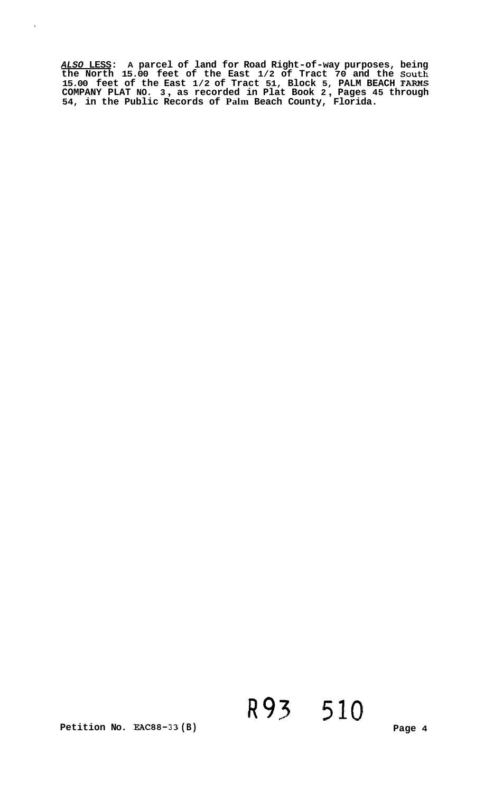*ALSO* **LESS: A parcel of land for Road Right-of-way purposes, being**  the North 15.00 feet of the East 1/2 of Tract 70 and the South 15.00 feet of the East 1/2 of Tract 51, Block 5, PALM BEACH FARMS<br>COMPANY PLAT NO. 3, [as recorded in Plat Book 2](#page-1-0), Pages 45 through **54, in the Public Records of Palm Beach County, Florida.** 

 $\hat{\mathbf{v}}$ 

# R93 510

**Petition No. EAC88-33 (B)** 

**Page 4**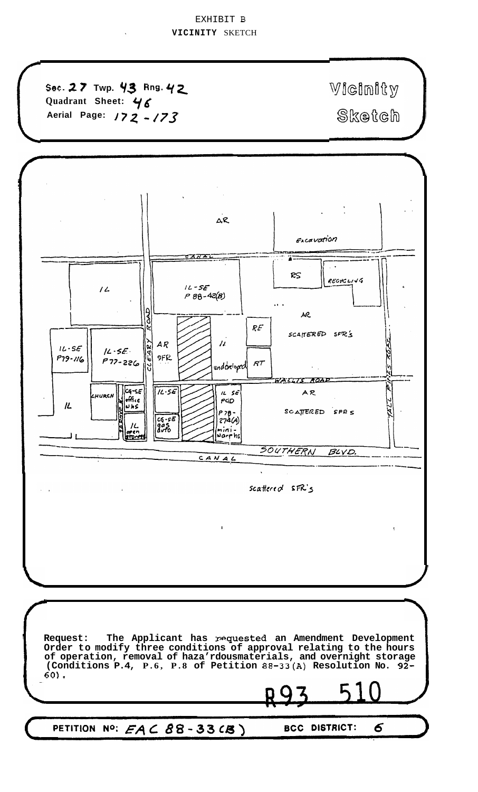## EXHIBIT B **VICINITY** SKETCH

**Sec. 2 7 Twp. 93 Rng.** *qz*  **Quadrant Sheet:**  Ylf Aerial Page: **172 - 173** 

Wieinity *J7Z 473* motdh

6



PETITION NO:  $EA \subset B8 - 33 CB$ ) **BCC DISTRICT:**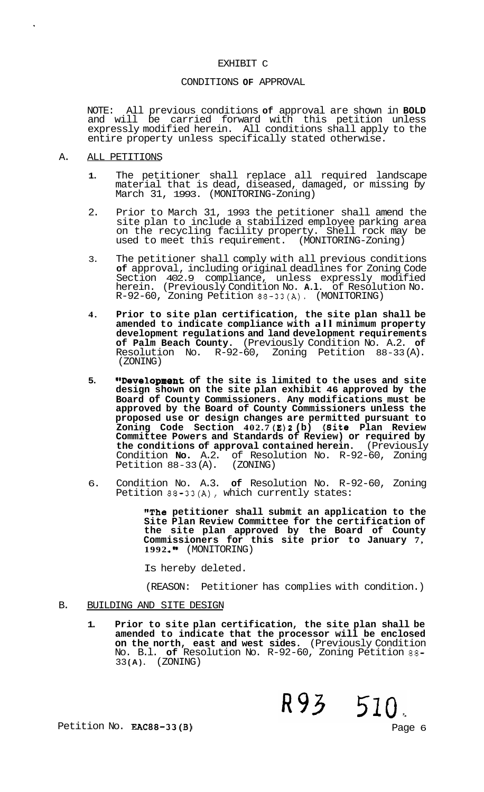#### EXHIBIT C

#### CONDITIONS **OF** APPROVAL

NOTE: All previous conditions **of** approval are shown in **BOLD**  and will be carried forward with this petition unless expressly modified herein. All conditions shall apply to the entire property unless specifically stated otherwise.

- A. ALL PETITIONS
	- **1.** The petitioner shall replace all required landscape material that is dead, diseased, damaged, or missing  $\bar{\mathsf{b}}$ y March 31, 1993. (MONITORING-Zoning)
	- 2. Prior to March 31, 1993 the petitioner shall amend the site plan to include a stabilized employee parking area on the recycling facility property. Shell rock may be used to meet this requirement. (MONITORING-Zoning)
	- 3. The petitioner shall comply with all previous conditions **of** approval, including original deadlines for Zoning Code Section 402.9 compliance, unless expressly modified herein. (Previously Condition No. **A.l.** of Resolution No. R-92-60, Zoning Petition 88-33(A). (MONITORING)
	- **4. Prior to site plan certification, the site plan shall be amended to indicate compliance with all minimum property development regulations and land development requirements of Palm Beach County.** (Previously Condition No. A.2. **of**  Resolution No. R-92-60, Zoning Petition 88-33 (A). (ZONING)
	- 5. **"Development** of the site is limited to the uses and site **design shown on the site plan exhibit 46 approved by the Board of County Commissioners. Any modifications must be approved by the Board of County Commissioners unless the proposed use or design changes are permitted pursuant to Zoning Code Section 402.7 (E)2 (b) (Site Plan Review Committee Powers and Standards of Review) or required by the conditions of approval contained herein.** (Previously Condition **No.** A.2. of Resolution No. R-92-60, Zoning<br>Petition 88-33(A). (ZONING) Petition  $88-33$  (A).
	- 6. Condition No. A.3. **of** Resolution No. R-92-60, Zoning Petition 88-33(A), which currently states:

**"The petitioner shall submit an application to the Site Plan Review Committee for the certification of the site plan approved by the Board of County Commissioners for this site prior to January 7, <sup>1992</sup>.'I** (MONITORING)

Is hereby deleted.

(REASON: Petitioner has complies with condition.)

#### B. BUILDING AND SITE DESIGN

**1. Prior to site plan certification, the site plan shall be amended to indicate that the processor will be enclosed on the north, east and west sides.** (Previously Condition No. B.l. **of** Resolution No. R-92-60, Zoning Petition 88- 33 **(A).** (ZONING)

Petition No. **EAC88-33(B)** Petition No. **EAC88-33(B)** 

R93 510.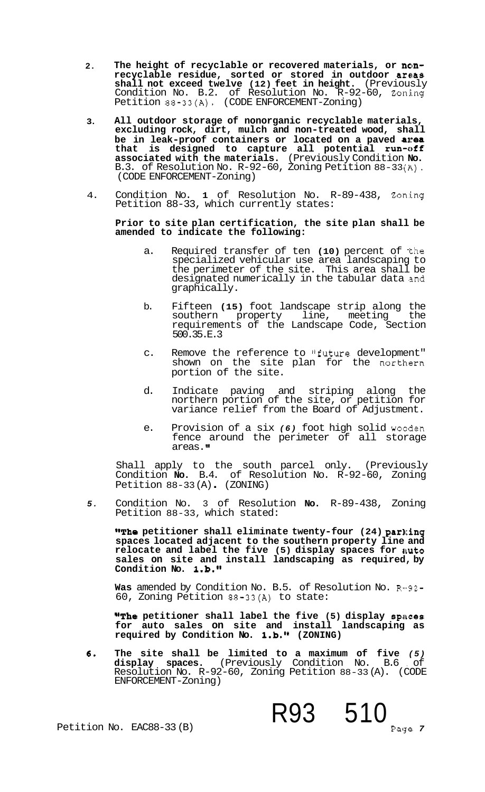- **2. The height of recyclable or recovered materials, or nonrecyclable residue, sorted or stored in outdoor arwas shall not exceed twelve (12) feet in height.** (Previously Condition No. B.2. of Resolution No. R-92-60, Zoning Petition 88-33(A). (CODE ENFORCEMENT-Zoning)
- **3. All outdoor storage of nonorganic recyclable materials, excluding rock, dirt, mulch and non-treated wood, shall**  be in leak-proof containers or located on a paved area **that is designed to capture all potential run-off associated with the materials.** (Previously Condition **No.**  B.3. of Resolution No. R-92-60, Zoning Petition 88-33 **(A).**  (CODE ENFORCEMENT-Zoning)
- 4. Condition No. 1 of Resolution No. R-89-438, Zoning Petition 88-33, which currently states:

#### **Prior to site plan certification, the site plan shall be amended to indicate the following:**

- a. Required transfer of ten (10) percent of the specialized vehicular use area landscaping to the perimeter of the site. This area shall be designated numerically in the tabular data and graphically.
- b. Fifteen **(15)** foot landscape strip along the southern property line, meeting the requirements of the Landscape Code, Section 500.35.E.3
- c. Remove the reference to "future development" shown on the site plan for the northern portion of the site.
- d. Indicate paving and striping along the northern portion of the site, or petition for variance relief from the Board of Adjustment.
- e. Provision of a six (6) foot high solid worden fence around the perimeter of all storage areas."

Shall apply to the south parcel only. (Previously Condition **No.** B.4. of Resolution No. R-92-60, Zoning Petition 88-33 (A) . (ZONING)

*5.*  Condition No. 3 of Resolution **No.** R-89-438, Zoning Petition 88-33, which stated:

**"The petitioner shall eliminate twenty-four (24) parking spaces located adjacent to the southern property line and relocate and label the five (5) display spaces for auto sales on site and install landscaping as required, by Condition No. 1.b."** 

Was amended by Condition No. B.5. of Resolution No. R-92-60, Zoning Petition 88-33(A) to state:

**"The petitioner shall label the five (5) display spaces for auto sales on site and install landscaping as required by Condition No. l.b.lw (ZONING)** 

R93 510

Paue 7

**6. The site shall be limited to a maximum of five** *(5)*  **display spaces.** (Previously Condition No. B.6 , of Resolution No. R-92-60, Zoning Petition 88-33 (A). (CODE ENFORCEMENT-Zoning)

Petition No. EAC88-33 (B)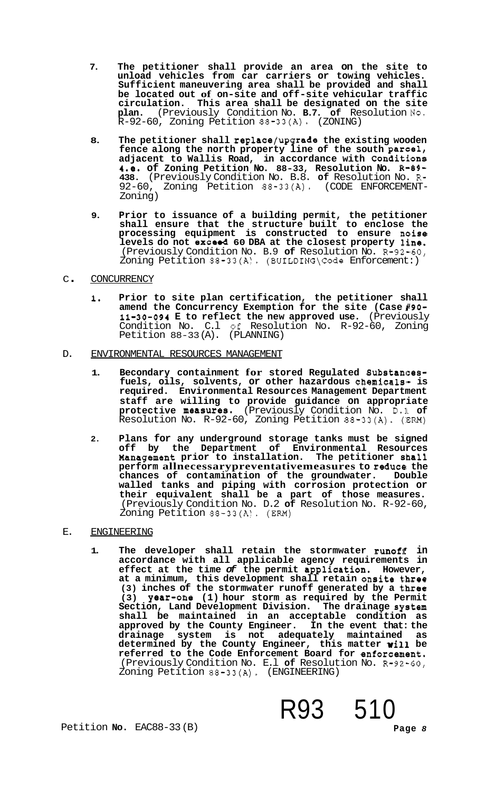- **7. The petitioner shall provide an area on the site to unload vehicles from car carriers or towing vehicles. Sufficient maneuvering area shall be provided and shall be located out of on-site and off-site vehicular traffic circulation. This area shall be designated on the site plan.** (Previously Condition No. **B.7. of** Resolution **190.**   $R-92-60$ , Zoning Petition  $88-33(A)$ . (ZONING)
- **8. The petitioner shall replace/upgrade the existing wooden**  fence along the north property line of the south parcel, adjacent to Wallis Road, in accordance with Conditions **4.e. of Zoning Petition No. 88-33, Resolution No. R-89- 438.** (Previously Condition No. B.8. **of** Resolution No. R-92-60, Zoning Petition 88-33(A). (CODE ENFORCEMENT-Zoning)
- **9. Prior to issuance of a building permit, the petitioner shall ensure that the structure built to enclose the processing equipment is constructed to ensure nolise**  levels do not exceed 60 DBA at the closest property line. (Previously Condition No. B.9 **of** Resolution No. R-92-60, Zoning Petition 88-33(A). (BUILDING\Code Enforcement:)

#### <sup>C</sup>. CONCURRENCY

- **1. Prior to site plan certification, the petitioner shall**  amend the Concurrency Exemption for the site (Case #90-**11-30-094 E to reflect the new approved use.** (Previously Condition No. C.l **Gf** Resolution No. R-92-60, Zoning Petition 88-33 (A). (PLANNING)
- D. ENVIRONMENTAL RESOURCES MANAGEMENT
	- **1. Becondary containment for stored Regulated Bubstancesfuels, oils, solvents, or other hazardous chemicals- is required. Environmental Resources Management Department staff are willing to provide guidance on appropriate protective measures.** (Previously Condition No. D.I **of**  Resolution No. R-92-60, Zoning Petition 88-33(A). (ERM)
	- **2. Plans for any underground storage tanks must be signed off by the Department of Environmental Resources Xanagement prior to installation. The petitioner s'ha11 perform allnecessarypreventativemeasures to reduce the chances of contamination of the groundwater. Double walled tanks and piping with corrosion protection or their equivalent shall be a part of those measures.**  (Previously Condition No. D.2 **of** Resolution No. R-92-60, Zoning Petition 88-33(A). (EM)

#### E. ENGINEERING

**1. The developer shall retain the stormwater runoff in accordance with all applicable agency requirements in effect at the time** *of* **the permit application. However,**  at a minimum, this development shall retain onsite three **(3) inches of the stormwater runoff generated by a three (3) year-one (1) hour storm as required by the Permit Section, Land Development Division. The drainage system shall be maintained in an acceptable condition as approved by the County Engineer. In the event that: the drainage system is not adequately maintained as determined by the County Engineer, this matter will be referred to the Code Enforcement Board for enforcement.**  (Previously Condition No. E.1 of Resolution No. R-92-60, Zoning Petition 88-33(A). (ENGINEERING)

Petition **No.** EAC88-33 (B) **Page** *8* 

R93 510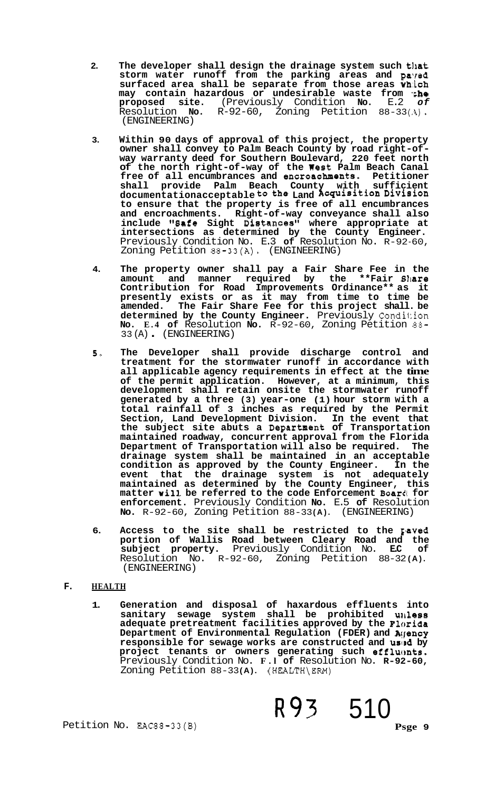- 2. The developer shall design the drainage system such that **storm water runoff from the parking areas and paired surfaced area shall be separate from those areas wh:ich may contain hazardous or undesirable waste from \*;he proposed site.** (Previously Condition **No.** E.2 *of*  Resolution **No.** R-92-60, Zoning Petition 88-33 **(.1).**  (ENGINEERING)
- **3. Within 90 days of approval of this project, the property owner shall convey to Palm Beach County by road right-of- way warranty deed for Southern Boulevard, 220 feet north of the north right-of-way of the West Palm Beach Canal free of all encumbrances and encroacbments. Petitioner shall provide Palm Beach County with sufficient documentationacceptable tothe Land AcquisitionDivision to ensure that the property is free of all encumbrances and encroachments. Right-of-way conveyance shall also**  include "Safe Sight Distances" where appropriate at **intersections as determined by the County Engineer.**  Previously Condition No. E.3 **of** Resolution No. R-92-60, Zoning Petition 88-33(A). (ENGINEERING)
- **4. The property owner shall pay a Fair Share Fee in the amount and manner required by the \*\*Fair Share Contribution for Road Improvements Ordinance\*\* as it presently exists or as it may from time to time be amended. The Fair Share Fee for this project shall. be**  determined by the County Engineer. Previously Condition **No. E.4 of** Resolution **No.** R-92-60, Zoning Petition 88- 3 3 (A) . (ENGINEERING)
- *5-* **The Developer shall provide discharge control and treatment for the stormwater runoff in accordance with all applicable agency requirements in effect at the time of the permit application. However, at a minimum, this development shall retain onsite the stormwater runoff generated by a three (3) year-one (1) hour storm with a total rainfall of 3 inches as required by the Permit Section, Land Development Division. In the event that the subject site abuts a Department of Transportation maintained roadway, concurrent approval from the Florida Department of Transportation will also be required. The drainage system shall be maintained in an acceptable condition as approved by the County Engineer. In the event that the drainage system is not adequately maintained as determined by the County Engineer, this matter will be referred to the code Enforcement Boar4 for enforcement.** Previously Condition **No.** E.5 **of** Resolution **No.** R-92-60, Zoning Petition 88-33 **(A).** (ENGINEERING)
- **6.** Access to the site shall be restricted to the paved **portion of Wallis Road between Cleary Road and the**  subject property. Previously Condition No. Resolution No. R-92-60, Zoning Petition 88-32 **(A).**  (ENGINEERING)

### **F. HEALTH**

**1. Generation and disposal of haxardous effluents into sanitary sewage system shall be prohibited unless adequate pretreatment facilities approved by the Florida Department of Environmental Regulation (FDER) and Aclency**  responsible for sewage works are constructed and used by project tenants or owners generating such effluents. Previously Condition No. **F.l of** Resolution No. **R-92-60,**  Zoning Petition 88-33(A). (HEALTH\ERM)

R93 510

Petition No. EAC88-33(B)

**Psge 9**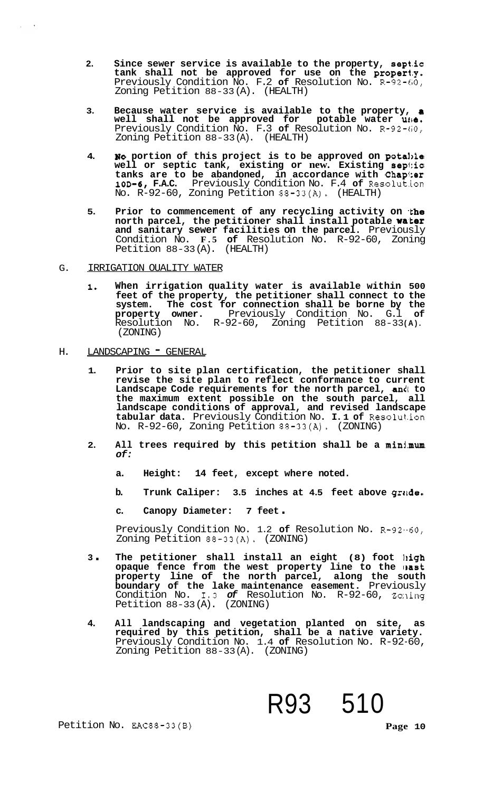- **2. Since sewer service is available to the property, septic**  tank shall not be approved for use on the **property.** Previously Condition No. F.2 of Resolution No. R-92-60, Zoning Petition 88-33 (A). (HEALTH)
- **3. Because water service is available to the property, a well shall not be approved for potable water utle.**  Previously Condition No. F.3 of Resolution No. R-92-60, Zoning Petition 88-33 (A). (HEALTH)
- 4. **No** portion of this project is to be approved on potable **well or septic tank, existing or new. Existing sepf:ic**  tanks are to be abandoned, in accordance with Chap<sup>1</sup>:er **10D-6, F.A.C.** Previously Condition No. F.4 **of** Resolut.ion No. R-92-60, Zoning Petition 88-33(A). (HEALTH)
- 5. Prior to commencement of any recycling activity on the **north parcel, the petitioner shall install potable water and sanitary sewer facilities on the parcel.** Previously Condition No. **F.5 of** Resolution No. R-92-60, Zoning Petition 88-33 (A). (HEALTH)
- G. IRRIGATION OUALITY WATER
	- **1. When irrigation quality water is available within 500 feet of the property, the petitioner shall connect to the**  system. The cost for connection shall be borne by the **property** owner. Previously Condition No. G.1 of Previously Condition No. G.l Resolution No. R-92-60, Zoning Petition 88-33 **(A).**  (ZONING)
- H. LANDSCAPING " GENERAL
	- **1. Prior to site plan certification, the petitioner shall revise the site plan to reflect conformance to current**  Landscape Code requirements for the north parcel, and to **the maximum extent possible on the south parcel, all landscape conditions of approval, and revised landscape tabular data.** Previously Condition No. **I. 1 of** Resolut.ion No. R-92-60, Zoning Petition 88-33(A). (ZONING)
	- **2. All trees required by this petition shall be a minj.mum**  *of:* 
		- **a. Height: 14 feet, except where noted.**
		- **b. Trunk Caliper: 3.5 inches at 4.5 feet above grade.**
		- **c. Canopy Diameter: 7 feet** .

Previously Condition No. 1.2 **of** Resolution No. R-92.-60, Zoning Petition 88-33(A). (ZONING)

- **<sup>3</sup>**. **The petitioner shall install an eight (8) foot high**  opaque fence from the west property line to the east **property line of the north parcel, along the south boundary of the lake maintenance easement.** Previously Condition No. 1.3 *of* Resolution No. R-92-60, Zo:ling Petition 88-33 (A). (ZONING)
- **4. All landscaping and vegetation planted on site, as required by this petition, shall be a native variety.**  Previously Condition No. 1.4 **of** Resolution No. R-92-60, Zoning Petition 88-33 (A). (ZONING)

R93 510

Petition No. EAC88-33(B) **Page 10**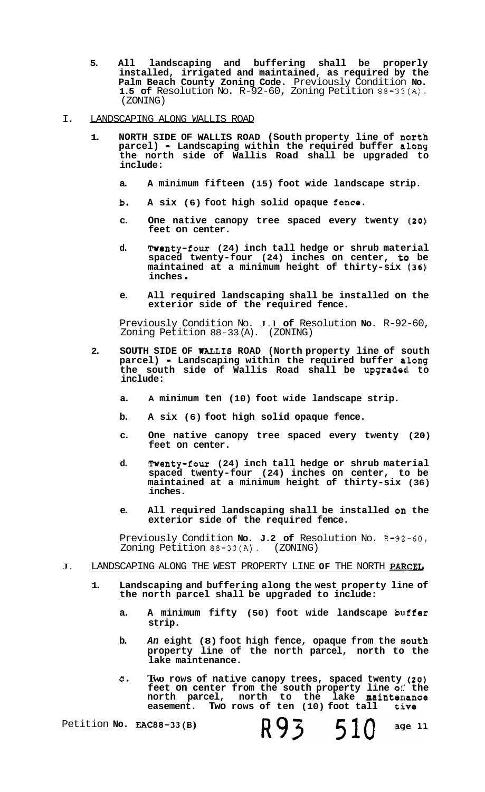- <span id="page-10-0"></span>**5. All landscaping and buffering shall be properly installed, irrigated and maintained, as required by the Palm Beach County Zoning Code.** Previously Condition **No. 1.5 of** Resolution No. R-92-60, Zoning Petition 88-33(A). (ZONING)
- I. LANDSCAPING ALONG WALLIS ROAD
	- **1. NORTH SIDE OF WALLIS ROAD (South property line of natrth parcel) Landscaping within the required buffer along the north side of Wallis Road shall be upgraded to include:** 
		- **a. A minimum fifteen (15) foot wide landscape strip.**
		- **b. A six (6) foot high solid opaque fence.**
		- **c. One native canopy tree spaced every twenty** *(20)*  **feet on center.**
		- **d. Twenty-four (24) inch tall hedge or shrub material**  spaced twenty-four (24) inches on center, to be **maintained at a minimum height of thirty-six ((36) inches** .
		- **e. All required landscaping shall be installed on the exterior side of the required fence.**

Previously Condition No. J.l **of** Resolution **No.** R-92-60, Zoning Petition 88-33 (A). (ZONING)

- **2. SOUTH SIDE OF WALL18 ROAD (North property line of south parcel)** - **Landscaping within the required buffer along**  the south side of Wallis Road shall be upgraded to **include:** 
	- **a. A minimum ten (10) foot wide landscape strip.**
	- **b. A six (6) foot high solid opaque fence.**
	- **c. One native canopy tree spaced every twenty (20) feet on center.**
	- **d. Twenty-four (24) inch tall hedge or shrub material spaced twenty-four (24) inches on center, to be maintained at a minimum height of thirty-six (36) inches.**
	- **e. All required landscaping shall be installed on the exterior side of the required fence.**

Previously Condition **No. J.2 of** Resolution No. R-92-60, Zoning Petition 88-33(A). (ZONING)

- J. LANDSCAPING ALONG THE WEST PROPERTY LINE OF THE NORTH PARCEL
	- **1. Landscaping and buffering along the west property line of the north parcel shall be upgraded to include:** 
		- **a. A minimum fifty (50) foot wide landscape buffer strip.**
		- **b.** An eight (8) foot high fence, opaque from the south **property line of the north parcel, north to the lake maintenance.**
		- **C. Two rows of native canopy trees, spaced twenty (20) feet on center from the south property line 011: the**   $north$  parcel,  $north$  to the lake maintemance **easement. Two rows of ten (10) foot tall tive**

Petition **No. EAC88-33(B)** 

R93 510

age 11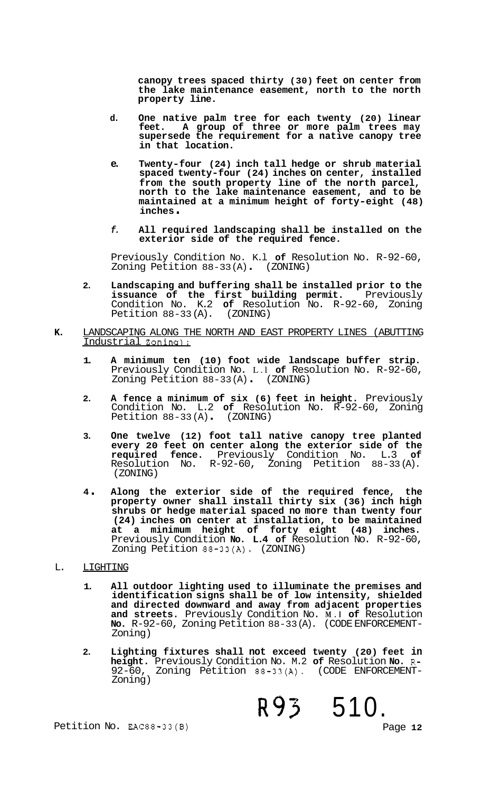**canopy trees spaced thirty (30) feet on center from the lake maintenance easement, north to the north property line.** 

- **d. One native palm tree for each twenty (20) linear feet. A group of three or more palm trees may supersede the requirement for a native canopy tree in that location.**
- **e. Twenty-four (24) inch tall hedge or shrub material spaced twenty-four (24) inches on center, installed from the south property line of the north parcel, north to the lake maintenance easement, and to be maintained at a minimum height of forty-eight (48) inches** .
- *f.* **All required landscaping shall be installed on the exterior side of the required fence.**

Previously Condition No. K.l **of** Resolution No. R-92-60, Zoning Petition 88-33 (A) . (ZONING)

- **2. Landscaping and buffering shall be installed prior to the**  issuance of the first building permit. Previously Condition No. K.2 **of** Resolution No. R-92-60, Zoning Petition 88-33 (A). (ZONING)
- **K.** LANDSCAPING ALONG THE NORTH AND EAST PROPERTY LINES (ABUTTING Industrial Zoning):
	- **1. A minimum ten (10) foot wide landscape buffer strip.**  Previously Condition No. L.l **of** Resolution No. R-92-60, Zoning Petition 88-33 (A) . (ZONING)
	- **2. A fence a minimum of six (6) feet in height.** Previously Condition No. L.2 **of** Resolution No. R-92-60, Zoning Petition 88-33 (A) . (ZONING)
	- **3. One twelve (12) foot tall native canopy tree planted every 20 feet on center along the exterior side of the required fence.** Previously Condition No. L.3<br>Resolution No. R-92-60, Zoning Petition 88-33  $R-92-60$ , Zoning Petition 88-33(A). (ZONING)
	- **<sup>4</sup>**. **Along the exterior side of the required fence, the property owner shall install thirty six (36) inch high shrubs or hedge material spaced no more than twenty four (24) inches on center at installation, to be maintained at a minimum height of forty eight (48) inches.**  Previously Condition **No. L.4 of** Resolution No. R-92-60, Zoning Petition 88-33(A). (ZONING)

#### L. LIGHTING

- **1. All outdoor lighting used to illuminate the premises and identification signs shall be of low intensity, shielded and directed downward and away from adjacent properties and streets.** Previously Condition No. **M.l of** Resolution **No.** R-92-60, Zoning Petition 88-33 (A). (CODE ENFORCEMENT- Zoning)
- **2. Lighting fixtures shall not exceed twenty (20) feet in height.** Previously Condition No. M.2 **of** Resolution **No.** R-92-60, Zoning Petition 88-33(A). (CODE ENFORCEMENT-<br>Zoning)

**R93** 510.

Petition No. EAC88-33(B) Page **12**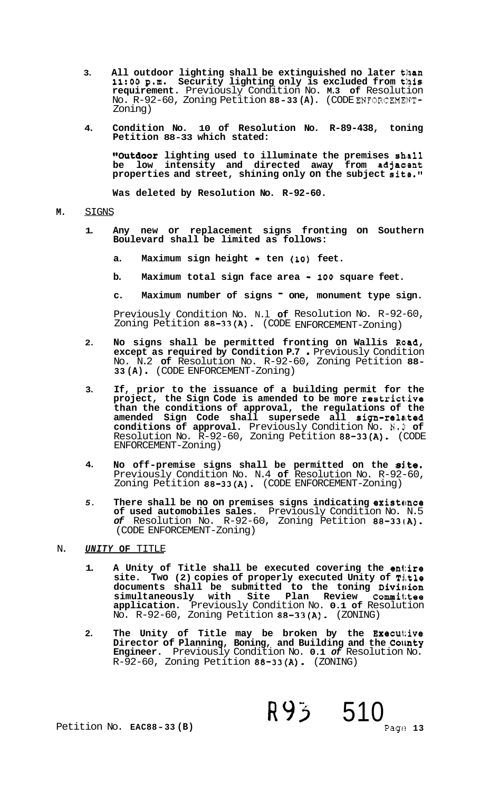- **3.** All outdoor lighting shall be extinguished no later than **11:OO p.m. Security lighting only is excluded from this requirement.** Previously Condition No. **M.3 of** Resolution No. R-92-60, Zoning Petition **88-33 (A).** (CODE ENFORCEMEIIIJT-Zoning)
- **4. Condition No. 10 of Resolution No. R-89-438, toning Petition 88-33 which stated:**

**"Outdoor** lighting used to illuminate the premises shall<br>be low intensity and directed away from adjacent low intensity and directed away from adjacent **properties and street, shining only on the subject site."** 

**Was deleted by Resolution No. R-92-60.** 

#### **M.** SIGNS

- **1. Any new or replacement signs fronting on Southern Boulevard shall be limited as follows:** 
	- a. Maximum sign height ten (10) feet.
	- **b. Maximum total sign face area <sup>100</sup>square feet.**
	- **c. Maximum number of signs one, monument type sign.**

Previously Condition No. N.l **of** Resolution No. R-92-60, Zoning Petition **88-33(A).** (CODE ENFORCEMENT-Zoning)

- **2.**  No signs shall be permitted fronting on Wallis Road, **except as required by Condition P.7** . Previously Condition No. N.2 **of** Resolution No. R-92-60, Zoning Petition **88- 33 (A)** . (CODE ENFORCEMENT-Zoning)
- **3. If, prior to the issuance of a building permit for the project, the Sign Code is amended to be more restrict:.ive than the conditions of approval, the regulations of the amended Sign Code shall supersede all sign-related conditions of approval.** Previously Condition No. N.3' **of**  Resolution No. R-92-60, Zoning Petition **88-33(A).** (CODE ENFORCEMENT-Zoning)
- **4.**  No off-premise signs shall be permitted on the site. Previously Condition No. N.4 **of** Resolution No. R-92-60, Zoning Petition **88-33(A).** (CODE ENFORCEMENT-Zoning)
- *5.*  There shall be no on premises signs indicating existance **of used automobiles sales.** Previously Condition No. N.5 *of* Resolution No. R-92-60, Zoning Petition **88-331A).**  (CODE ENFORCEMENT-Zoning)

#### N. *UNITY* **OF** TITLE

- **1. A Unity of Title shall be executed covering the entire site. Two (2) copies of properly executed Unity of Title**  documents shall be submitted to the toning Division  ${\tt simultaneously}$  with Site Plan Review Committee **application.** Previously Condition No. **0.1 of** Resolution No. R-92-60, Zoning Petition **88-33(A).** (ZONING)
- **2.** The Unity of Title may be broken by the Executive **Director of Planning, Boning, and Building and the County Engineer.** Previously Condition No. **0.1** *of* Resolution No. R-92-60, Zoning Petition **88-33(A).** (ZONING)

R93 510

Page 13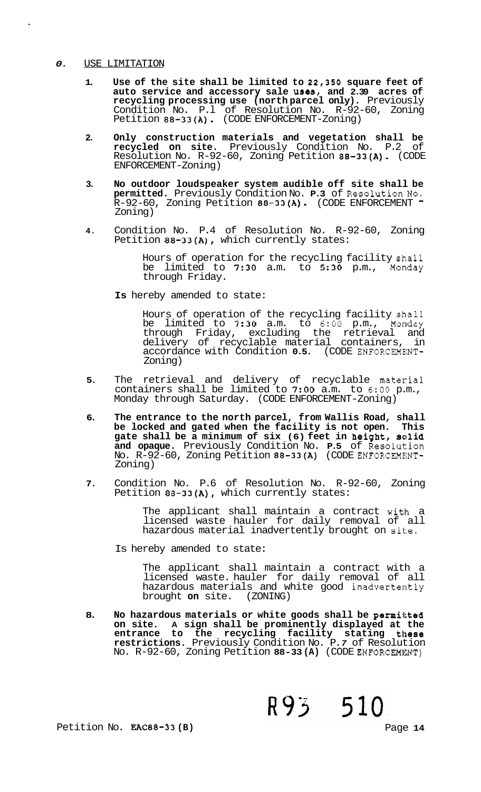#### *0.* USE LIMITATION

- 1. Use of the site shall be limited to 22,350 square feet of auto service and accessory sale uses, and 2.39 acres of **recycling processing use (north parcel only).** Previously Condition No. P.l of Resolution No. R-92-60, Zoning Petition **88-33(A).** (CODE ENFORCEMENT-Zoning)
- **2. Only construction materials and vegetation shall be recycled on site.** Previously Condition No. P.2 of Resolution No. R-92-60, Zoning Petition **88-33(A).** (CODE ENFORCEMENT-Zoning)
- **3. No outdoor loudspeaker system audible off site shall be permitted.** Previously Condition No. **P.3** of Resolution No. R-92-60, Zoning Petition **88-33(A).** (CODE ENFORCEMENT - Zoning)
- **4.** Condition No. P.4 of Resolution No. R-92-60, Zoning Petition **88-33(A),** which currently states:

Hours of operation for the recycling facility shall be limited to **7:30** a.m. to **5:30** p.m., Monday through Friday.

**Is** hereby amended to state:

Hours of operation of the recycling facility shall be limited to **7:30** a.m. to 6:OO p.m., Monday through Friday, excluding the retrieval and delivery of recyclable material containers, in accordance with Condition **0.5.** (CODE ENFORCEMENT-Zoning)

- **5.** The retrieval and delivery of recyclable material containers shall be limited to **7:OO** a.m. to 6:OO p.m., Monday through Saturday. (CODE ENFORCEMENT-Zoning)
- **6. The entrance to the north parcel, from Wallis Road, shall be locked and gated when the facility is not open. This gate shall be a minimum of six (6) feet in height, solid and opaque.** Previously Condition No. **P.5** of Resolution No. R-92-60, Zoning Petition **88-33(A)** (CODE ENFORCEMXNT-Zoning)
- **7.** Condition No. P.6 of Resolution No. R-92-60, Zoning Petition **88-33(A),** which currently states:

The applicant shall maintain a contract with a licensed waste hauler for daily removal of all hazardous material inadvertently brought on  $s$ ite,

Is hereby amended to state:

The applicant shall maintain a contract with a licensed waste. hauler for daily removal of all hazardous materials and white good inadvertently<br>brought on site. (ZONING) brought on site.

8. No hazardous materials or white goods shall be permitted **on site. A sign shall be prominently displayed at the**  entrance to the recycling facility stating these **restrictions.** Previously Condition No. P. *7* of Resolution No. R-92-60, Zoning Petition 88-33 (A) (CODE ENFORCEMENT)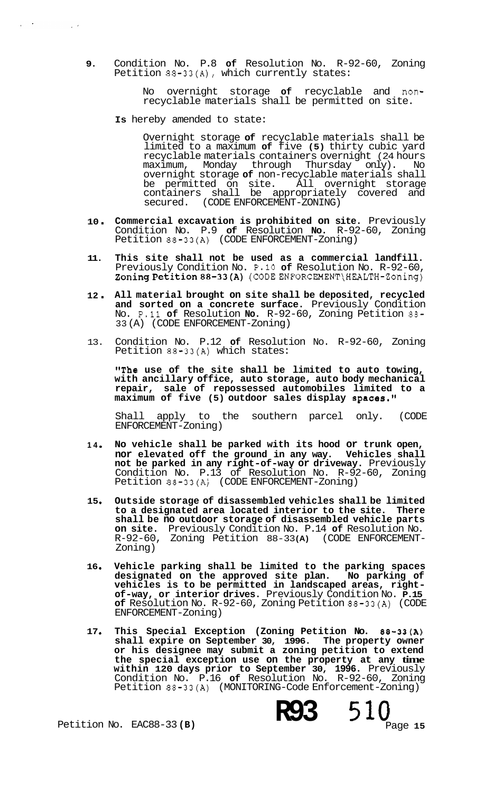**9.**  Condition No. P.8 **of** Resolution No. R-92-60, Zoning Petition 88-33(A), which currently states:

> No overnight storage **of** recyclable and nonrecyclable materials shall be permitted on site.

**Is** hereby amended to state:

 $\mathcal{L}^{\mathcal{L}}(\mathcal{A})$  . The set of  $\mathcal{L}^{\mathcal{L}}(\mathcal{A})$ 

 $\sim 100$ 

Overnight storage **of** recyclable materials shall be limited to a maximum **of** five **(5)** thirty cubic yard recyclable materials containers overnight (24 hours maximum, Monday through Thursday only). No overnight storage **of** non-recyclable materials shall be permitted on site. All overnight storage containers shall be appropriately covered and secured. (CODE ENFORCEMENT-ZONING)

- **<sup>10</sup>**. **Commercial excavation is prohibited on site.** Previously Condition No. P.9 **of** Resolution **No.** R-92-60, Zoning Petition 88-33(A) (CODE ENFORCEMENT-Zoning)
- **11. This site shall not be used as a commercial landfill.**  Previously Condition No. P.10 **of** Resolution No. R-92-60, ZoningPetition88-33(A) **(CODEENFORCEMENT\HEALTH-Zoning)**
- **<sup>12</sup>**. **All material brought on site shall be deposited, recycled and sorted on a concrete surface.** Previously Condition No. P.11 **of** Resolution **No.** R-92-60, Zoning Petition 88- 33 (A) (CODE ENFORCEMENT-Zoning)
- 13. Condition No. P.12 **of** Resolution No. R-92-60, Zoning Petition 88-33(A) which states:

"The use of the site shall be limited to auto towing, **with ancillary office, auto storage, auto body mechanical repair, sale of repossessed automobiles limited to a**  maximum of five (5) outdoor sales display spaces."

Shall apply to the southern parcel only. (CODE ENFORCEMENT-Zoning)

- **14 No vehicle shall be parked with its hood or trunk open, nor elevated off the ground in any way. Vehicles shall not be parked in any right-of-way or driveway.** Previously Condition No. P.13 of Resolution No. R-92-60, Zoning Petition 88-33(A) (CODE ENFORCEMENT-Zoning)
- **15 Outside storage of disassembled vehicles shall be limited to a designated area located interior to the site. There shall be no outdoor storage of disassembled vehicle parts on site.** Previously Condition No. P.14 **of** Resolution No. R-92-60, Zoning Petition 88-33(A)<br>Zoning)
- **16 Vehicle parking shall be limited to the parking spaces designated on the approved site plan. No parking of vehicles is to be permitted in landscaped areas, right- of-way, or interior drives.** Previously Condition No. **P.15 of** Resolution No. R-92-60, Zoning Petition **88-33(A)** (CODE ENFORCEMENT-Zoning)
- **17 This Special Exception (Zoning Petition No. 88-33(A) shall expire on September 30, 1996. The property owner or his designee may submit a zoning petition to extend the special exception use on the property at any time within 120 days prior to September 30, 1996.** Previously Condition No. P.16 **of** Resolution No. R-92-60, Zoning Petition 88-33(A) (MONITORING-Code Enforcement-Zoning)

Petition No. EAC88-33 **(B)** 

**R93** 510 Page **15**